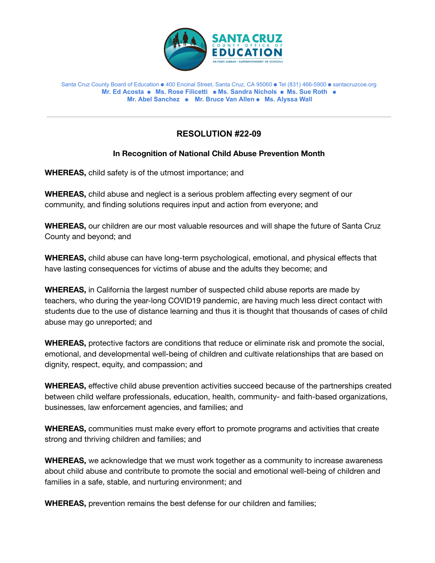

## Santa Cruz County Board of Education ⚈ 400 Encinal Street, Santa Cruz, CA 95060 ⚈ Tel (831) 466-5900 ⚈ santacruzcoe.org **Mr. Ed Acosta** ⚈ **Ms. Rose Filicetti** ⚈ **Ms. Sandra Nichols** ⚈ **Ms. Sue Roth** ⚈ **Mr. Abel Sanchez** ⚈ **Mr. Bruce Van Allen** ⚈ **Ms. Alyssa Wall**

## **RESOLUTION #22-09**

## **In Recognition of National Child Abuse Prevention Month**

**WHEREAS,** child safety is of the utmost importance; and

**WHEREAS,** child abuse and neglect is a serious problem affecting every segment of our community, and finding solutions requires input and action from everyone; and

**WHEREAS,** our children are our most valuable resources and will shape the future of Santa Cruz County and beyond; and

**WHEREAS,** child abuse can have long-term psychological, emotional, and physical effects that have lasting consequences for victims of abuse and the adults they become; and

**WHEREAS,** in California the largest number of suspected child abuse reports are made by teachers, who during the year-long COVID19 pandemic, are having much less direct contact with students due to the use of distance learning and thus it is thought that thousands of cases of child abuse may go unreported; and

**WHEREAS,** protective factors are conditions that reduce or eliminate risk and promote the social, emotional, and developmental well-being of children and cultivate relationships that are based on dignity, respect, equity, and compassion; and

**WHEREAS,** effective child abuse prevention activities succeed because of the partnerships created between child welfare professionals, education, health, community- and faith-based organizations, businesses, law enforcement agencies, and families; and

**WHEREAS,** communities must make every effort to promote programs and activities that create strong and thriving children and families; and

**WHEREAS,** we acknowledge that we must work together as a community to increase awareness about child abuse and contribute to promote the social and emotional well-being of children and families in a safe, stable, and nurturing environment; and

**WHEREAS,** prevention remains the best defense for our children and families;